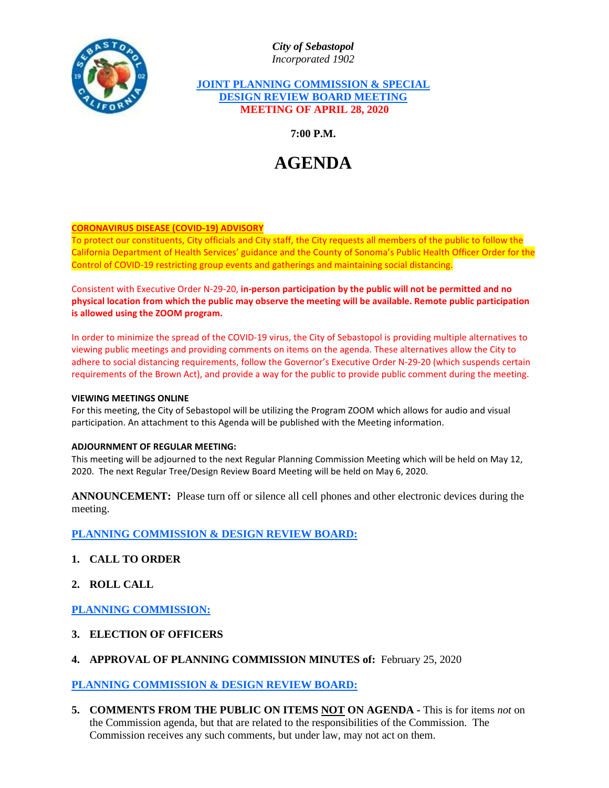*City of Sebastopol Incorporated 1902*

# **JOINT PLANNING COMMISSION & SPECIAL DESIGN REVIEW BOARD MEETING MEETING OF APRIL 28, 2020**

**7:00 P.M.**

# **AGENDA**

# **CORONAVIRUS DISEASE (COVID-19) ADVISORY**

To protect our constituents, City officials and City staff, the City requests all members of the public to follow the California Department of Health Services' guidance and the County of Sonoma's Public Health Officer Order for the Control of COVID-19 restricting group events and gatherings and maintaining social distancing.

Consistent with Executive Order N-29-20, **in-person participation by the public will not be permitted and no physical location from which the public may observe the meeting will be available. Remote public participation is allowed using the ZOOM program.**

In order to minimize the spread of the COVID-19 virus, the City of Sebastopol is providing multiple alternatives to viewing public meetings and providing comments on items on the agenda. These alternatives allow the City to adhere to social distancing requirements, follow the Governor's Executive Order N-29-20 (which suspends certain requirements of the Brown Act), and provide a way for the public to provide public comment during the meeting.

#### **VIEWING MEETINGS ONLINE**

For this meeting, the City of Sebastopol will be utilizing the Program ZOOM which allows for audio and visual participation. An attachment to this Agenda will be published with the Meeting information.

## **ADJOURNMENT OF REGULAR MEETING:**

This meeting will be adjourned to the next Regular Planning Commission Meeting which will be held on May 12, 2020. The next Regular Tree/Design Review Board Meeting will be held on May 6, 2020.

**ANNOUNCEMENT:** Please turn off or silence all cell phones and other electronic devices during the meeting.

**PLANNING COMMISSION & DESIGN REVIEW BOARD:**

- **1. CALL TO ORDER**
- **2. ROLL CALL**

**PLANNING COMMISSION:**

- **3. ELECTION OF OFFICERS**
- **4. APPROVAL OF PLANNING COMMISSION MINUTES of:** February 25, 2020

**PLANNING COMMISSION & DESIGN REVIEW BOARD:**

**5. COMMENTS FROM THE PUBLIC ON ITEMS NOT ON AGENDA -** This is for items *not* on the Commission agenda, but that are related to the responsibilities of the Commission. The Commission receives any such comments, but under law, may not act on them.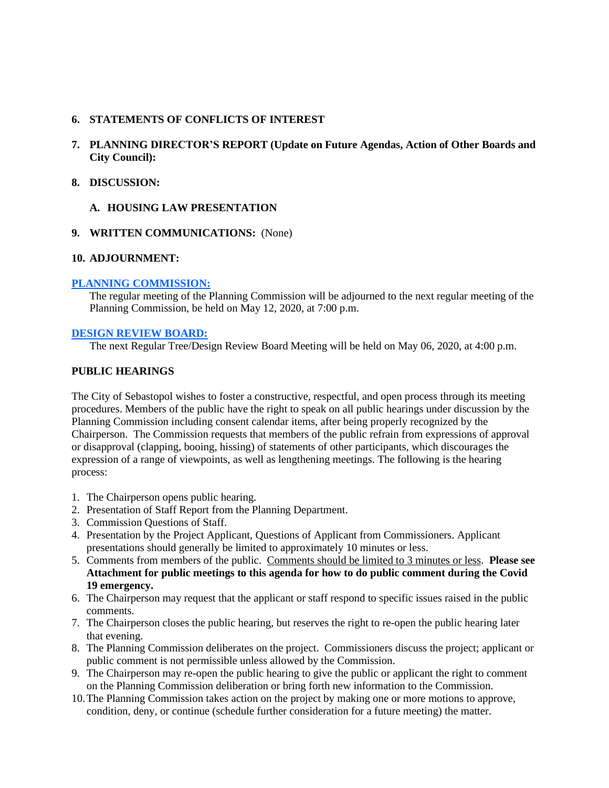## **6. STATEMENTS OF CONFLICTS OF INTEREST**

- **7. PLANNING DIRECTOR'S REPORT (Update on Future Agendas, Action of Other Boards and City Council):**
- **8. DISCUSSION:**

# **A. HOUSING LAW PRESENTATION**

# **9. WRITTEN COMMUNICATIONS:** (None)

## **10. ADJOURNMENT:**

## **PLANNING COMMISSION:**

The regular meeting of the Planning Commission will be adjourned to the next regular meeting of the Planning Commission, be held on May 12, 2020, at 7:00 p.m.

# **DESIGN REVIEW BOARD:**

The next Regular Tree/Design Review Board Meeting will be held on May 06, 2020, at 4:00 p.m.

## **PUBLIC HEARINGS**

The City of Sebastopol wishes to foster a constructive, respectful, and open process through its meeting procedures. Members of the public have the right to speak on all public hearings under discussion by the Planning Commission including consent calendar items, after being properly recognized by the Chairperson. The Commission requests that members of the public refrain from expressions of approval or disapproval (clapping, booing, hissing) of statements of other participants, which discourages the expression of a range of viewpoints, as well as lengthening meetings. The following is the hearing process:

- 1. The Chairperson opens public hearing.
- 2. Presentation of Staff Report from the Planning Department.
- 3. Commission Questions of Staff.
- 4. Presentation by the Project Applicant, Questions of Applicant from Commissioners. Applicant presentations should generally be limited to approximately 10 minutes or less.
- 5. Comments from members of the public. Comments should be limited to 3 minutes or less. **Please see Attachment for public meetings to this agenda for how to do public comment during the Covid 19 emergency.**
- 6. The Chairperson may request that the applicant or staff respond to specific issues raised in the public comments.
- 7. The Chairperson closes the public hearing, but reserves the right to re-open the public hearing later that evening.
- 8. The Planning Commission deliberates on the project. Commissioners discuss the project; applicant or public comment is not permissible unless allowed by the Commission.
- 9. The Chairperson may re-open the public hearing to give the public or applicant the right to comment on the Planning Commission deliberation or bring forth new information to the Commission.
- 10.The Planning Commission takes action on the project by making one or more motions to approve, condition, deny, or continue (schedule further consideration for a future meeting) the matter.